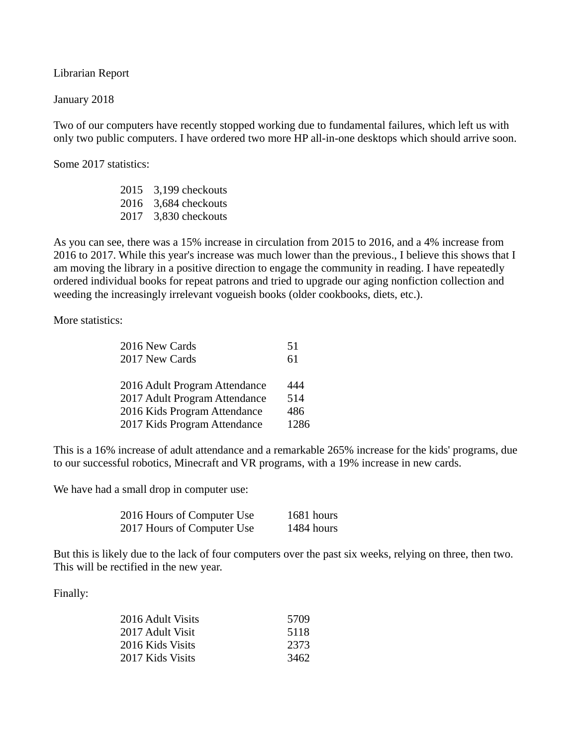Librarian Report

January 2018

Two of our computers have recently stopped working due to fundamental failures, which left us with only two public computers. I have ordered two more HP all-in-one desktops which should arrive soon.

Some 2017 statistics:

2015 3,199 checkouts 2016 3,684 checkouts 2017 3,830 checkouts

As you can see, there was a 15% increase in circulation from 2015 to 2016, and a 4% increase from 2016 to 2017. While this year's increase was much lower than the previous., I believe this shows that I am moving the library in a positive direction to engage the community in reading. I have repeatedly ordered individual books for repeat patrons and tried to upgrade our aging nonfiction collection and weeding the increasingly irrelevant vogueish books (older cookbooks, diets, etc.).

More statistics:

| 2016 New Cards                | 51   |
|-------------------------------|------|
| 2017 New Cards                | 61   |
|                               |      |
| 2016 Adult Program Attendance | 444  |
| 2017 Adult Program Attendance | 514  |
| 2016 Kids Program Attendance  | 486  |
| 2017 Kids Program Attendance  | 1286 |

This is a 16% increase of adult attendance and a remarkable 265% increase for the kids' programs, due to our successful robotics, Minecraft and VR programs, with a 19% increase in new cards.

We have had a small drop in computer use:

| 2016 Hours of Computer Use | 1681 hours |
|----------------------------|------------|
| 2017 Hours of Computer Use | 1484 hours |

But this is likely due to the lack of four computers over the past six weeks, relying on three, then two. This will be rectified in the new year.

Finally:

| 2016 Adult Visits | 5709 |
|-------------------|------|
| 2017 Adult Visit  | 5118 |
| 2016 Kids Visits  | 2373 |
| 2017 Kids Visits  | 3462 |